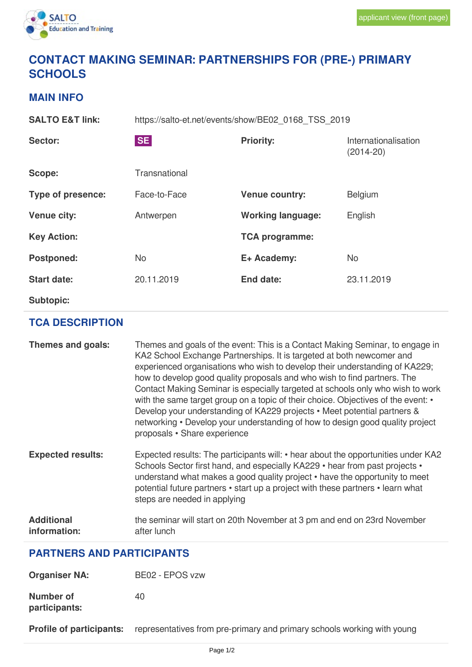

## **CONTACT MAKING SEMINAR: PARTNERSHIPS FOR (PRE-) PRIMARY SCHOOLS**

## **MAIN INFO**

**SALTO E&T link:** https://salto-et.net/events/show/BE02\_0168\_TSS\_2019 Sector: Sector: SE SE **SE Reflective** Priority: **Internationalisation** (2014-20) Scope: Transnational **Type of presence:** Face-to-Face **Venue country:** Belgium **Venue city:** Antwerpen **Working language:** English **Key Action: TCA programme: Postponed:** No **E+ Academy:** No **Start date:** 20.11.2019 **End date:** 23.11.2019 **Subtopic:**

## **TCA DESCRIPTION**

| Themes and goals:                 | Themes and goals of the event: This is a Contact Making Seminar, to engage in<br>KA2 School Exchange Partnerships. It is targeted at both newcomer and<br>experienced organisations who wish to develop their understanding of KA229;<br>how to develop good quality proposals and who wish to find partners. The<br>Contact Making Seminar is especially targeted at schools only who wish to work<br>with the same target group on a topic of their choice. Objectives of the event: •<br>Develop your understanding of KA229 projects • Meet potential partners &<br>networking • Develop your understanding of how to design good quality project<br>proposals • Share experience |
|-----------------------------------|---------------------------------------------------------------------------------------------------------------------------------------------------------------------------------------------------------------------------------------------------------------------------------------------------------------------------------------------------------------------------------------------------------------------------------------------------------------------------------------------------------------------------------------------------------------------------------------------------------------------------------------------------------------------------------------|
| <b>Expected results:</b>          | Expected results: The participants will: • hear about the opportunities under KA2<br>Schools Sector first hand, and especially KA229 • hear from past projects •<br>understand what makes a good quality project • have the opportunity to meet<br>potential future partners • start up a project with these partners • learn what<br>steps are needed in applying                                                                                                                                                                                                                                                                                                                    |
| <b>Additional</b><br>information: | the seminar will start on 20th November at 3 pm and end on 23rd November<br>after lunch                                                                                                                                                                                                                                                                                                                                                                                                                                                                                                                                                                                               |

## **PARTNERS AND PARTICIPANTS**

| <b>Organiser NA:</b>       | BE02 - EPOS vzw |
|----------------------------|-----------------|
| Number of<br>participants: | 40              |

**Profile of participants:** representatives from pre-primary and primary schools working with young